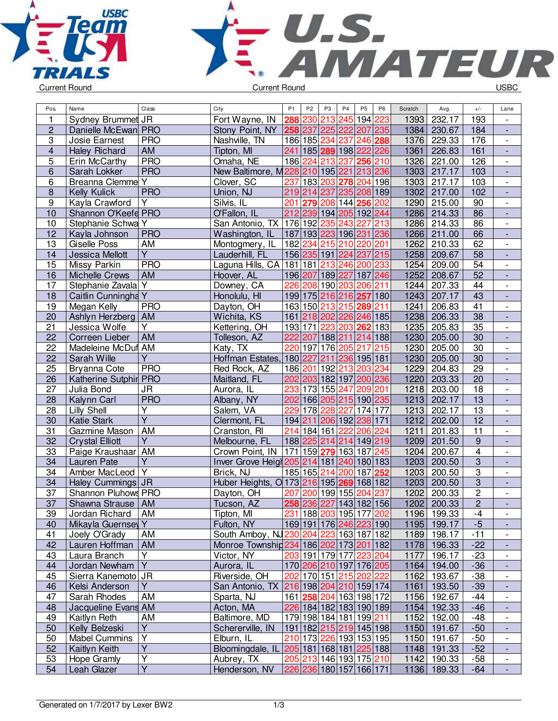



| Pos.                    | Name                                | Class                   | City                                     | P <sub>1</sub> | P <sub>2</sub> | P3               | P <sub>4</sub>                                     | P <sub>5</sub>        | P <sub>6</sub> | Scratch | Avg.                       | $+/-$           | Lane                         |
|-------------------------|-------------------------------------|-------------------------|------------------------------------------|----------------|----------------|------------------|----------------------------------------------------|-----------------------|----------------|---------|----------------------------|-----------------|------------------------------|
| 1                       | Sydney Brummet JR                   |                         | Fort Wayne, IN                           | 288            | 230            | 213              | 245                                                | 194 223               |                | 1393    | 232.17                     | 193             | $\overline{\phantom{a}}$     |
| $\overline{c}$          | Danielle McEwan PRO                 |                         | Stony Point, NY                          | 258 237        |                | 225              | 222                                                | 207                   | 235            | 1384    | 230.67                     | 184             | $\frac{1}{2}$                |
| 3                       | Josie Earnest                       | <b>PRO</b>              | Nashville, TN                            | 186 185        |                | 234              | 237                                                | 246 288               |                | 1376    | 229.33                     | 176             | $\overline{\phantom{a}}$     |
| $\overline{\mathbf{4}}$ | <b>Haley Richard</b>                | AM                      | Tipton, MI                               |                |                |                  | 241 185 289 198 222 226                            |                       |                | 1361    | 226.83                     | 161             | $\blacksquare$               |
| 5                       | Erin McCarthy                       | <b>PRO</b>              | Omaha, NE                                |                | 186 224        | 213              | 237                                                | 256 210               |                | 1326    | 221.00                     | 126             | $\blacksquare$               |
| 6                       | Sarah Lokker                        | <b>PRO</b>              | New Baltimore, M228 210 195 221          |                |                |                  |                                                    | 213 236               |                | 1303    | 217.17                     | 103             | $\overline{a}$               |
| 6                       | <b>Breanna Clemme Y</b>             |                         | Clover, SC                               | 237            | 183 203        |                  |                                                    | 278 204               | 198            | 1303    | 217.17                     | 103             | $\overline{\phantom{0}}$     |
| 8                       | Kelly Kulick                        | <b>PRO</b>              | Union, NJ                                |                | 219 214        | 237              | 235                                                | 208 189               |                | 1302    | 217.00                     | 102             | $\overline{\phantom{a}}$     |
| 9                       | Kayla Crawford                      | Y                       | Silvis, IL                               | 201            | 279            |                  | 208 144                                            | 256                   | 202            | 1290    | 215.00                     | 90              | $\overline{\phantom{0}}$     |
| 10                      | Shannon O'Keefe PRO                 |                         | O'Fallon, IL                             |                |                |                  | 212 239 194 205 192 244                            |                       |                | 1286    | 214.33                     | 86              | $\qquad \qquad \blacksquare$ |
| 10                      | Stephanie Schwa Y                   |                         | San Antonio, TX                          | 176 192        |                | 235              | 243                                                | 227                   | 213            | 1286    | 214.33                     | 86              | $\overline{\phantom{a}}$     |
| 12                      | Kayla Johnson                       | <b>PRO</b>              | Washington, IL                           |                | 187 193 223    |                  | 196 231                                            |                       | 236            | 1266    | 211.00                     | 66              | $\frac{1}{2}$                |
| 13                      | Giselle Poss                        | AM                      | Montogmery, IL                           | 182            | 234            | 215              | 210                                                | 220 201               |                | 1262    | 210.33                     | 62              | $\overline{\phantom{0}}$     |
| 14                      | Jessica Mellott                     | $\overline{Y}$          | Lauderhill, FL                           |                |                |                  | 156 235 191 224 237 215                            |                       |                | 1258    | 209.67                     | $\overline{58}$ | $\blacksquare$               |
| 15                      | Missy Parkin                        | <b>PRO</b>              | Laguna Hills, CA                         |                | 181 181        |                  | 213 246 200 233                                    |                       |                | 1254    | 209.00                     | 54              | $\overline{\phantom{a}}$     |
| 16                      | <b>Michelle Crews</b>               | <b>AM</b>               | Hoover, AL                               | 196 207        |                |                  | 189 227 187 246                                    |                       |                | 1252    | 208.67                     | 52              | $\overline{a}$               |
| 17                      | Stephanie Zavala Y                  |                         | Downey, CA                               | 226            |                |                  | 208 190 203 206 211                                |                       |                | 1244    | 207.33                     | 44              | $\overline{\phantom{0}}$     |
| 18                      | Caitlin Cunningha Y                 |                         | Honolulu, HI                             |                |                |                  | 199 175 216 216 257 180                            |                       |                | 1243    | 207.17                     | 43              | ٠                            |
| 19                      | Megan Kelly                         | <b>PRO</b>              | Dayton, OH                               |                |                |                  | 163 150 213 215 289                                |                       | 211            | 1241    | 206.83                     | 41              |                              |
| 20                      | Ashlyn Herzberg                     | AM                      | Wichita, KS                              |                |                |                  | 161 218 202 226 246 185                            |                       |                | 1238    | 206.33                     | $\overline{38}$ | $\overline{\phantom{a}}$     |
| 21                      | Jessica Wolfe                       | Y                       | Kettering, OH                            | 193 171        |                | 223              | 203                                                | 262 183               |                | 1235    | 205.83                     | 35              | $\overline{\phantom{0}}$     |
| 22                      | Correen Lieber                      | AM                      | Tolleson, AZ                             | 222 207        |                | 188 211          |                                                    | 214 188               |                | 1230    | 205.00                     | $\overline{30}$ | $\frac{1}{2}$                |
| 22                      | Madeleine McDuf AM                  |                         | Katy, TX                                 | 220 197        |                | $\overline{1}76$ | 205                                                | 217                   | 215            | 1230    | 205.00                     | 30              | $\overline{\phantom{0}}$     |
| 22                      | Sarah Wille                         | Y                       | Hoffman Estates,                         | 180 227        |                | 211              |                                                    | 236 195 181           |                | 1230    | 205.00                     | 30              | $\overline{a}$               |
| 25                      | <b>Bryanna Cote</b>                 | <b>PRO</b>              | Red Rock, AZ                             |                | 186 201 192    |                  | 213 203                                            |                       | 234            | 1229    | 204.83                     | $\overline{29}$ | $\overline{\phantom{a}}$     |
| 26                      | Katherine Sutphir PRO               |                         | Maitland, FL                             |                |                |                  | 202 203 182 197 200 236                            |                       |                | 1220    | 203.33                     | 20              | $\overline{a}$               |
| 27                      | Julia Bond                          | <b>JR</b>               | Aurora, IL                               |                | 233 173 155    |                  | 247                                                | 209 201               |                | 1218    | 203.00                     | 18              | $\overline{\phantom{0}}$     |
| 28                      | Kalynn Carl                         | <b>PRO</b>              | Albany, NY                               |                |                |                  | 202 166 205 215 190 235                            |                       |                | 1213    | 202.17                     | 13              | $\overline{\phantom{a}}$     |
| 28                      | Lilly Shell                         | Υ                       | Salem, VA                                |                | 229 178        | 228              | 227                                                | $\overline{174}$  177 |                | 1213    | 202.17                     | 13              | $\overline{\phantom{0}}$     |
| 30                      | <b>Katie Stark</b>                  | $\overline{\mathsf{Y}}$ | Clermont, FL                             |                |                |                  | 194 211 206 192                                    | 238 171               |                | 1212    | 202.00                     | $\overline{12}$ | L,                           |
| 31                      | Gazmine Mason                       | <b>AM</b>               | Cranston, RI                             | 214            | 184 161        |                  | 222                                                | 206                   | 224            | 1211    | 201.83                     | 11              | $\overline{\phantom{a}}$     |
| 32                      | <b>Crystal Elliott</b>              | $\overline{Y}$          | Melbourne, FL                            | 188 225        |                | 214              | 214                                                | 149 219               |                | 1209    | 201.50                     | $\overline{9}$  | $\overline{\phantom{a}}$     |
| 33                      | Paige Kraushaar                     | AM                      | Crown Point, IN                          |                | 171 159 279    |                  | 163 187                                            |                       | 245            | 1204    | 200.67                     | $\overline{4}$  | $\overline{\phantom{a}}$     |
| 34                      | Lauren Pate                         | Y                       | Inver Grove Heigt 205 214 181            |                |                |                  | 240 180 183                                        |                       |                | 1203    | 200.50                     | $\overline{3}$  | $\frac{1}{2}$                |
| 34                      | Amber MacLeod Y                     |                         | Brick, NJ                                |                | 185 165        | 214              | 200                                                | 187                   | 252            | 1203    | 200.50                     | $\overline{3}$  | $\frac{1}{2}$                |
| 34                      | Haley Cummings JR                   |                         | Huber Heights, 0 173 216 195 269 168 182 |                |                |                  |                                                    |                       |                | 1203    | 200.50                     | $\overline{3}$  | $\frac{1}{2}$                |
| 37                      | Shannon Pluhows PRO                 |                         | Dayton, OH                               | 207            | 200            |                  | 199 155                                            | 204                   | 237            | 1202    | 200.33                     | $\overline{2}$  | $\overline{\phantom{0}}$     |
| $\overline{37}$         | Shawna Strause   AM                 |                         | Tucson, AZ                               |                |                |                  | 258 236 227 143 182 156                            |                       |                | 1202    | 200.33                     | $\overline{2}$  |                              |
| 39                      | Jordan Richard                      | AM                      | Tipton, MI                               |                |                |                  | 231   188   203   195   177   202                  |                       |                |         | 1196   199.33              | -4              |                              |
| 40                      | Mikayla Guernsey Y                  |                         | Fulton, NY                               |                |                |                  | 169 191 176 246 223 190                            |                       |                |         | 1195 199.17                | $-5$            |                              |
| 41                      | Joely O'Grady                       | AM                      | South Amboy, NJ230 204 223 163 187 182   |                |                |                  |                                                    |                       |                |         | 1189 198.17                | $-11$           | $\overline{\phantom{a}}$     |
| 42                      | Lauren Hoffman                      | AM                      | Monroe Township 234 186 202 173 201 182  |                |                |                  |                                                    |                       |                |         | 1178 196.33                | $-22$           | $\overline{\phantom{a}}$     |
| 43                      | Laura Branch                        | Y                       | Victor, NY                               |                |                |                  | 203 191 179 177 223 204                            |                       |                | 1177    | 196.17                     | $-23$           | $\overline{\phantom{a}}$     |
| 44                      | Jordan Newham                       | $\overline{Y}$          | Aurora, IL                               |                |                |                  | 170 206 210 197 176 205                            |                       |                |         | 1164 194.00                | $-36$           |                              |
| 45                      | Sierra Kanemoto JR                  |                         | Riverside, OH                            |                |                |                  | 202 170 151 215 202 222                            |                       |                |         | 1162 193.67                | $-38$           | $\overline{\phantom{a}}$     |
| 46                      | Kelsi Anderson                      | Y.                      | San Antonio, TX 216 198 204 210 159 174  |                |                |                  |                                                    |                       |                |         | 1161   193.50              | $-39$           | $\overline{\phantom{a}}$     |
| 47                      | Sarah Rhodes                        | AM                      | Sparta, NJ                               |                |                |                  | 161 258 204 163 198 172                            |                       |                |         | 1156 192.67                | $-44$           |                              |
|                         |                                     |                         |                                          |                |                |                  |                                                    |                       |                |         | 1154 192.33                |                 | $\overline{\phantom{0}}$     |
| 48                      | Jacqueline Evans AM<br>Kaitlyn Reth |                         | Acton, MA<br>Baltimore, MD               |                |                |                  | 226 184 182 183 190 189<br>179 198 184 181 199 211 |                       |                |         |                            | $-46$           | $\overline{\phantom{a}}$     |
| 49                      |                                     | AM<br>$\overline{Y}$    |                                          |                |                |                  | 191 182 215 219 145 198                            |                       |                |         | 1152 192.00                | $-48$<br>$-50$  | $\overline{\phantom{0}}$     |
| 50<br>50                | Kelly Belzeski                      | $\overline{Y}$          | Schererville, IN                         |                |                |                  |                                                    |                       |                |         | 1150 191.67                | $-50$           | -                            |
|                         | <b>Mabel Cummins</b>                | $\overline{Y}$          | Elburn, IL                               |                |                |                  | 210 173 226 193 153 195                            |                       |                |         | 1150 191.67                |                 | $\overline{\phantom{a}}$     |
| 52                      | Kaitlyn Keith                       | Y                       | Bloomingdale, IL 205 181 168 181 225 188 |                |                |                  | 205 213 146 193 175 210                            |                       |                |         | 1148 191.33<br>1142 190.33 | $-52$           | $\qquad \qquad \blacksquare$ |
| 53<br>54                | Hope Gramly<br>Leah Glazer          | $\overline{Y}$          | Aubrey, TX<br>Henderson, NV              |                |                |                  | 226 236 180 157 166 171                            |                       |                |         | 1136 189.33                | $-58$<br>$-64$  | $\qquad \qquad -$<br>÷,      |
|                         |                                     |                         |                                          |                |                |                  |                                                    |                       |                |         |                            |                 |                              |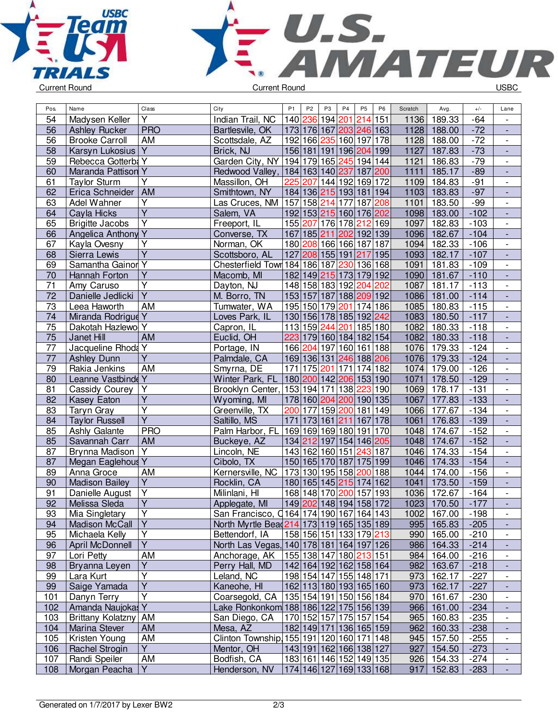



| Pos.            | Name                      | $Cl$ ass                | City                                      | P <sub>1</sub>                         | P <sub>2</sub> | P <sub>3</sub>  | P <sub>4</sub>  | P <sub>5</sub>          | P <sub>6</sub> | Scratch | Avg.        | $+/-$  | Lane                         |
|-----------------|---------------------------|-------------------------|-------------------------------------------|----------------------------------------|----------------|-----------------|-----------------|-------------------------|----------------|---------|-------------|--------|------------------------------|
| 54              | Madysen Keller            | Y                       | Indian Trail, NC                          | 140 236 194                            |                |                 | 201             | 214                     | 151            | 1136    | 189.33      | $-64$  |                              |
| 56              | <b>Ashley Rucker</b>      | <b>PRO</b>              | Bartlesvile, OK                           | 173 176 167                            |                |                 |                 | 203 246 163             |                | 1128    | 188.00      | $-72$  |                              |
| 56              | <b>Brooke Carroll</b>     | <b>AM</b>               | Scottsdale, AZ                            | 192 166 235                            |                |                 | 160 197         |                         | 178            | 1128    | 188.00      | $-72$  | $\overline{\phantom{a}}$     |
| 58              | Karsyn Lukosius           | Y                       | Brick, NJ                                 | 156 181 191                            |                |                 |                 | 196 204 199             |                | 1127    | 187.83      | $-73$  | $\overline{\phantom{a}}$     |
| 59              | Rebecca Gotterba Y        |                         | Garden City, NY                           | 194 179 165 245 194 144                |                |                 |                 |                         |                | 1121    | 186.83      | $-79$  | $\overline{\phantom{a}}$     |
| 60              | Maranda Pattison Y        |                         | Redwood Valley, 184 163 140 237 187       |                                        |                |                 |                 |                         | 200            | 1111    | 185.17      | $-89$  | $\blacksquare$               |
| 61              | <b>Taylor Sturm</b>       | Y                       | Massillon, OH                             | 225                                    | 207            |                 |                 | 144 192 169 172         |                | 1109    | 184.83      | $-91$  | $\overline{\phantom{a}}$     |
| 62              | Erica Schneider           | <b>AM</b>               | Smithtown, NY                             | 184 136 215 193 181                    |                |                 |                 |                         | 194            | 1103    | 183.83      | $-97$  | $\blacksquare$               |
| 63              | Adel Wahner               | Υ                       | Las Cruces, NM                            | 157                                    |                | 158 214 177     |                 | 187                     | 208            | 1101    | 183.50      | $-99$  | $\overline{\phantom{a}}$     |
| 64              | Cayla Hicks               | $\overline{Y}$          | Salem, VA                                 |                                        |                |                 |                 | 192 153 215 160 176 202 |                | 1098    | 183.00      | $-102$ | $\overline{\phantom{a}}$     |
| 65              | <b>Brigitte Jacobs</b>    | $\overline{\mathsf{Y}}$ | Freeport, IL                              | 155 207 176 178                        |                |                 |                 | 212                     | 169            | 1097    | 182.83      | $-103$ |                              |
| 66              | <b>Angelica Anthony Y</b> |                         | Converse, TX                              | 167 185 211                            |                |                 | 202             | 192 139                 |                | 1096    | 182.67      | $-104$ | $\blacksquare$               |
| 67              | Kayla Ovesny              | Υ                       | Norman, OK                                | 180 208 166 166 187                    |                |                 |                 |                         | 187            | 1094    | 182.33      | $-106$ | $\overline{\phantom{a}}$     |
| 68              | Sierra Lewis              | $\overline{\mathsf{Y}}$ | Scottsboro, AL                            | 127                                    |                |                 | 208 155 191 217 |                         | 195            | 1093    | 182.17      | $-107$ | $\overline{\phantom{a}}$     |
| 69              | Samantha Gainor Y         |                         | Chesterfield Town 184 186 187 230 136 168 |                                        |                |                 |                 |                         |                | 1091    | 181.83      | $-109$ | $\blacksquare$               |
| 70              | Hannah Forton             | $\overline{Y}$          | Macomb, MI                                | 182 149 215 173                        |                |                 |                 | 179 192                 |                | 1090    | 181.67      | $-110$ | $\Box$                       |
| 71              | Amy Caruso                | $\overline{\mathsf{Y}}$ | Dayton, NJ                                | 148 158 183 192                        |                |                 |                 | 204                     | 202            | 1087    | 181.17      | $-113$ | $\blacksquare$               |
| 72              | Danielle Jedlicki         | $\overline{\mathsf{Y}}$ | M. Borro, TN                              |                                        |                |                 |                 | 153 157 187 188 209 192 |                | 1086    | 181.00      | $-114$ | $\overline{\phantom{a}}$     |
| 73              | Leea Haworth              | AM                      | Tumwater, WA                              | 195 150 179                            |                |                 | 201             | 174 186                 |                | 1085    | 180.83      | $-115$ | $\overline{\phantom{a}}$     |
| 74              | Miranda Rodrigue Y        |                         | Loves Park, IL                            |                                        |                |                 |                 | 130 156 178 185 192 242 |                | 1083    | 180.50      | $-117$ |                              |
| 75              | Dakotah Hazlewo Y         |                         | Capron, IL                                | 113 159 244                            |                |                 |                 | 201 185 180             |                | 1082    | 180.33      | $-118$ | $\overline{\phantom{a}}$     |
| 75              | Janet Hill                | AM                      | Euclid, OH                                |                                        |                |                 |                 | 223 179 160 184 182 154 |                | 1082    | 180.33      | $-118$ | ÷,                           |
| 77              | Jacqueline Rhoda Y        |                         | Portage, IN                               |                                        |                |                 |                 | 166 204 197 160 161     | 188            | 1076    | 179.33      | $-124$ | $\overline{\phantom{a}}$     |
| 77              | <b>Ashley Dunn</b>        | Υ                       | Palmdale, CA                              |                                        |                |                 |                 | 169 136 131 246 188 206 |                | 1076    | 179.33      | $-124$ | $\overline{\phantom{a}}$     |
| 79              | Rakia Jenkins             | <b>AM</b>               | Smyrna, DE                                | 171                                    |                | 175 201         |                 | 171 174 182             |                | 1074    | 179.00      | $-126$ | $\blacksquare$               |
| 80              | Leanne Vastbinde Y        |                         | Winter Park, FL                           | 180 200 142 206 153 190                |                |                 |                 |                         |                | 1071    | 178.50      | $-129$ | $\Box$                       |
| 81              | Cassidy Courey            | $\overline{Y}$          | Brooklyn Center, 153 194 171              |                                        |                |                 | 138             | 223                     | 190            | 1069    | 178.17      | $-131$ | $\blacksquare$               |
| 82              | Kasey Eaton               | $\overline{Y}$          | Wyoming, MI                               |                                        |                |                 | 178 160 204 200 | 190 135                 |                | 1067    | 177.83      | $-133$ | $\overline{\phantom{a}}$     |
| 83              | Taryn Gray                | $\overline{\mathsf{Y}}$ | Greenville, TX                            | 200                                    |                |                 | 177 159 200 181 |                         | 149            | 1066    | 177.67      | $-134$ | $\overline{\phantom{a}}$     |
| 84              | <b>Taylor Russell</b>     | $\overline{Y}$          | Saltillo, MS                              | 171                                    | 173 161        |                 | 211             | 167                     | 178            | 1061    | 176.83      | $-139$ |                              |
| 85              | Ashly Galante             | <b>PRO</b>              | Palm Harbor, FL                           | 169 169 169 180 191                    |                |                 |                 |                         | 170            | 1048    | 174.67      | $-152$ |                              |
| 85              | Savannah Carr             | AM                      | Buckeye, AZ                               |                                        |                |                 |                 | 134 212 197 154 146 205 |                | 1048    | 174.67      | $-152$ | $\blacksquare$               |
| 87              | Brynna Madison            | Y                       | Lincoln, NE                               |                                        |                | 143 162 160 151 |                 | 243 187                 |                | 1046    | 174.33      | $-154$ | $\overline{\phantom{a}}$     |
| 87              | Megan Eaglehous Y         |                         | Cibolo, TX                                |                                        |                |                 | 150 165 170 187 | 175 199                 |                | 1046    | 174.33      | $-154$ | $\overline{a}$               |
| 89              | Anna Groce                | AM                      | Kernersville, NC                          | 173 130 195 158  <mark>200</mark>  188 |                |                 |                 |                         |                | 1044    | 174.00      | $-156$ | $\overline{\phantom{a}}$     |
| 90              | <b>Madison Bailey</b>     | $\overline{Y}$          | Rocklin, CA                               |                                        |                |                 |                 | 180 165 145 215 174 162 |                | 1041    | 173.50      | $-159$ | $\Box$                       |
| 91              | Danielle August           | $\overline{Y}$          | Milinlani, HI                             | 168 148 170                            |                |                 | 200             | 157                     | 193            | 1036    | 172.67      | $-164$ | $\overline{\phantom{a}}$     |
| $\overline{92}$ | Melissa Sleda             | $\overline{Y}$          | Applegate, MI                             |                                        |                |                 |                 | 149 202 148 194 158 172 |                | 1023    | 170.50      | $-177$ | $\blacksquare$               |
| 93              | Mia Singletary            | Y                       | San Francisco, Q164 174 190 167 164 143   |                                        |                |                 |                 |                         |                |         | 1002 167.00 | $-198$ | $\overline{\phantom{a}}$     |
| 94              | <b>Madison McCall</b>     | Y                       | North Myrtle Bead 214 173 119 165 135 189 |                                        |                |                 |                 |                         |                | 995     | 165.83      | $-205$ | ٠                            |
| 95              | Michaela Kelly            | Υ                       | Bettendorf, IA                            | 158 156 151 133 179  <mark>213</mark>  |                |                 |                 |                         |                | 990     | 165.00      | $-210$ |                              |
| 96              | April McDonnell           | $\overline{Y}$          | North Las Vegas, 140 178 181 164 197 126  |                                        |                |                 |                 |                         |                | 986     | 164.33      | $-214$ |                              |
| 97              | Lori Petty                | AM                      | Anchorage, AK                             | 155 138 147 180  <mark>213</mark>  151 |                |                 |                 |                         |                | 984     | 164.00      | $-216$ | $\qquad \qquad \blacksquare$ |
| 98              | Bryanna Leyen             | Υ                       | Perry Hall, MD                            |                                        |                |                 |                 | 142 164 192 162 158 164 |                | 982     | 163.67      | $-218$ |                              |
| 99              | Lara Kurt                 | $\overline{\mathsf{Y}}$ | Leland, NC                                |                                        |                |                 |                 | 198 154 147 155 148 171 |                | 973     | 162.17      | $-227$ | $\overline{\phantom{a}}$     |
| 99              | Saige Yamada              | $\overline{Y}$          | Kaneohe, HI                               |                                        |                |                 |                 | 162 113 180 193 165 160 |                | 973     | 162.17      | $-227$ | $\overline{\phantom{a}}$     |
| 101             | Danyn Terry               | $\overline{Y}$          | Coarsegold, CA                            | 135 154 191 150 156 184                |                |                 |                 |                         |                | 970     | 161.67      | $-230$ | $\overline{\phantom{a}}$     |
| 102             | Amanda Naujokas Y         |                         | Lake Ronkonkom 188 186 122 175 156 139    |                                        |                |                 |                 |                         |                | 966     | 161.00      | $-234$ | $\overline{\phantom{a}}$     |
| 103             | <b>Brittany Kolatzny</b>  | AM                      | San Diego, CA                             | 170 152 157 175 157 154                |                |                 |                 |                         |                | 965     | 160.83      | $-235$ | $\overline{\phantom{a}}$     |
| 104             | Marina Stever             | AM                      | Mesa, AZ                                  | 182 149 171 136 165 159                |                |                 |                 |                         |                | 962     | 160.33      | $-238$ | $\overline{\phantom{a}}$     |
| 105             | Kristen Young             | AM                      | Clinton Township 155 191 120 160 171 148  |                                        |                |                 |                 |                         |                | 945     | 157.50      | $-255$ | $\overline{\phantom{a}}$     |
| 106             | Rachel Strogin            | Y                       | Mentor, OH                                |                                        |                |                 |                 | 143 191 162 166 138 127 |                | 927     | 154.50      | $-273$ | $\overline{\phantom{a}}$     |
| 107             | Randi Speiler             | AM                      | Bodfish, CA                               |                                        |                |                 |                 | 183 161 146 152 149 135 |                | 926     | 154.33      | $-274$ | $\overline{\phantom{a}}$     |
| 108             | Morgan Peacha             | Y                       | Henderson, NV                             | 174 146 127 169 133 168                |                |                 |                 |                         |                | 917     | 152.83      | $-283$ |                              |